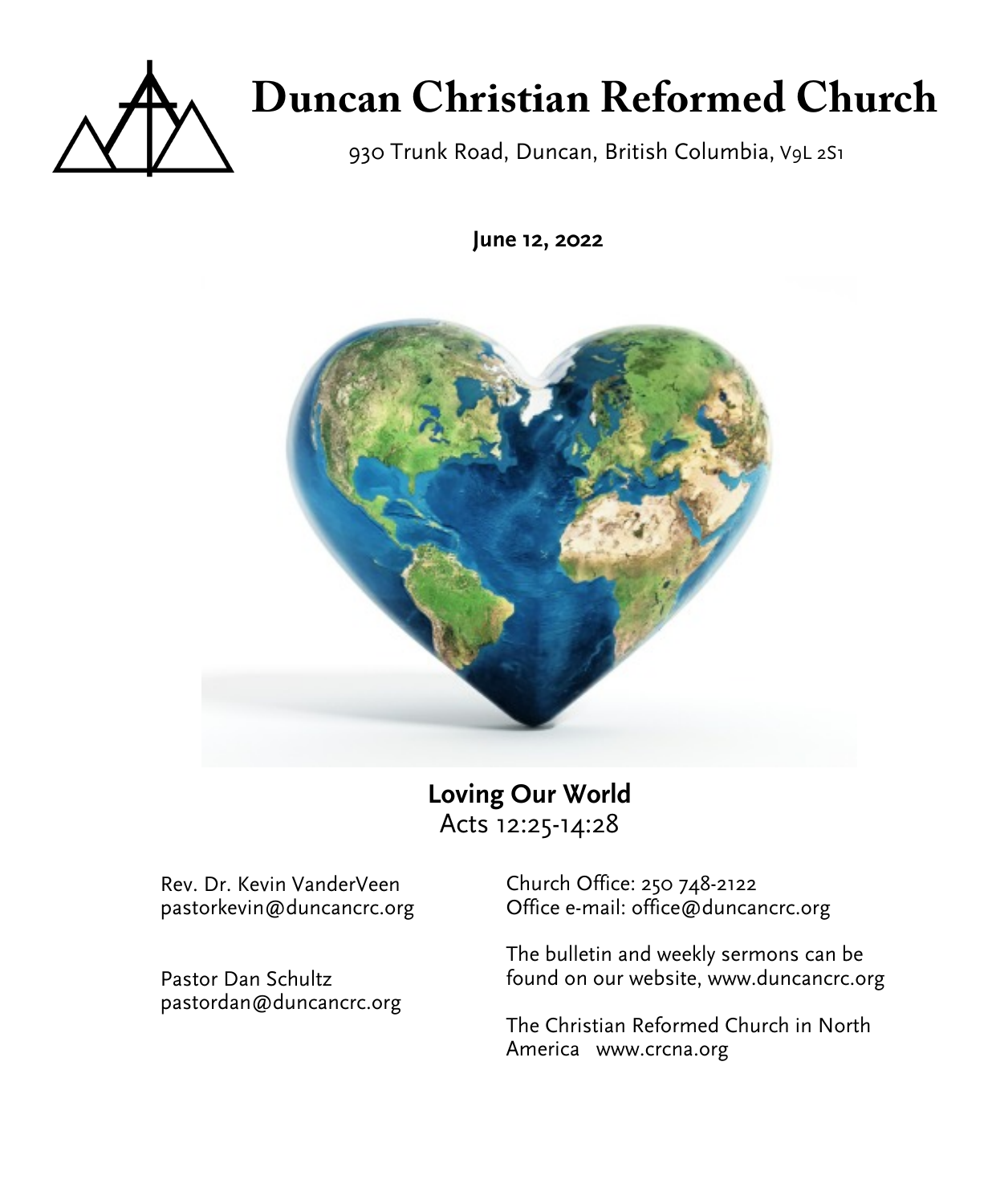

# **Duncan Christian Reformed Church**

930 Trunk Road, Duncan, British Columbia, V9L 2S1

**June 12, 2022**



**Loving Our World** Acts 12:25-14:28

Rev. Dr. Kevin VanderVeen pastorkevin@duncancrc.org

Pastor Dan Schultz pastordan@duncancrc.org Church Office: 250 748-2122 Office e-mail: office@duncancrc.org

The bulletin and week[ly](www.duncancrc.org) sermons can be found on our website, www.duncancrc.org

The Christian Reformed Church in North America www.crcna.org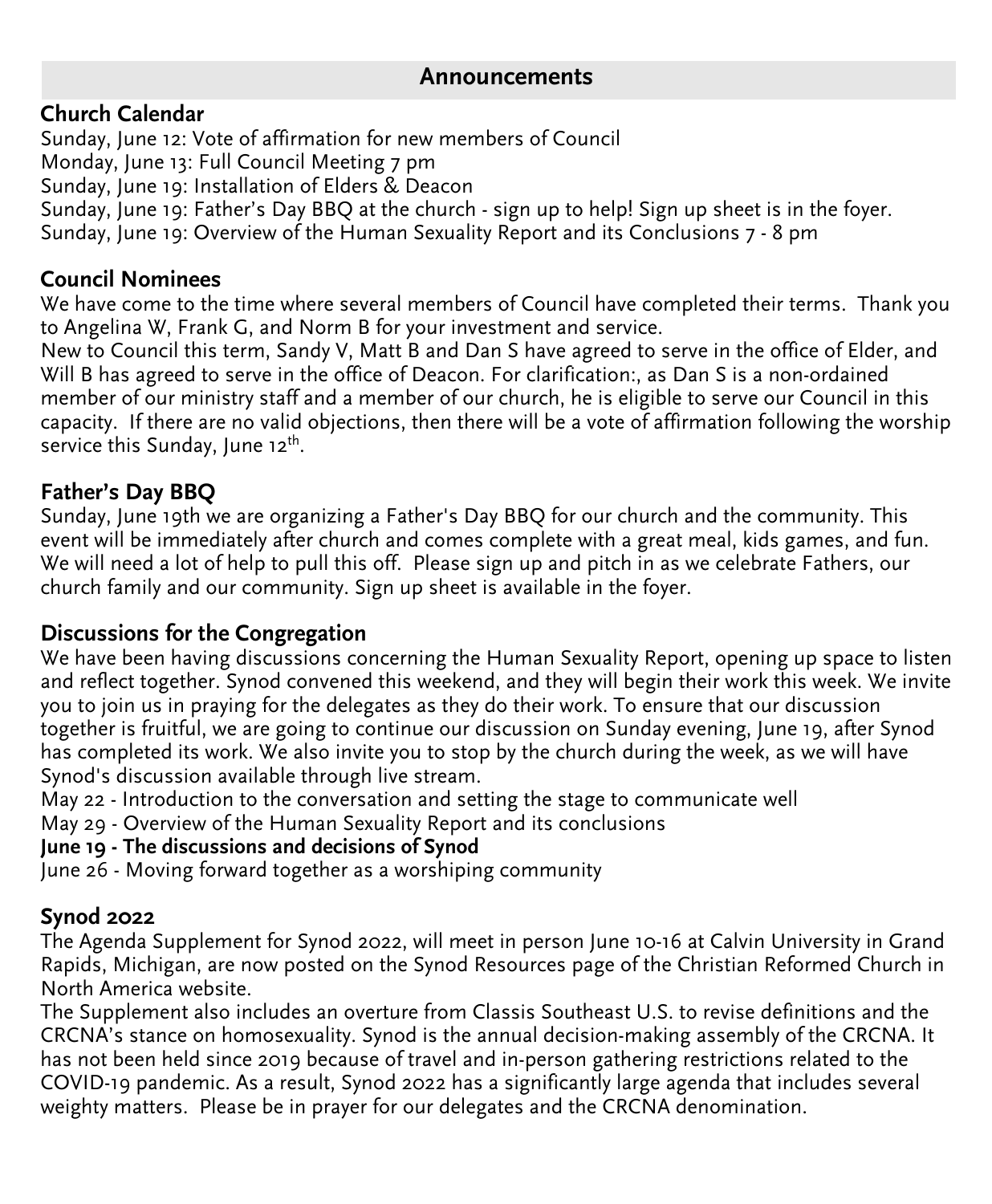# **Announcements**

# **Church Calendar**

Sunday, June 12: Vote of affirmation for new members of Council Monday, June 13: Full Council Meeting 7 pm Sunday, June 19: Installation of Elders & Deacon Sunday, June 19: Father's Day BBQ at the church - sign up to help! Sign up sheet is in the foyer. Sunday, June 19: Overview of the Human Sexuality Report and its Conclusions 7 - 8 pm

# **Council Nominees**

We have come to the time where several members of Council have completed their terms. Thank you to Angelina W, Frank G, and Norm B for your investment and service.

New to Council this term, Sandy V, Matt B and Dan S have agreed to serve in the office of Elder, and Will B has agreed to serve in the office of Deacon. For clarification:, as Dan S is a non-ordained member of our ministry staff and a member of our church, he is eligible to serve our Council in this capacity. If there are no valid objections, then there will be a vote of affirmation following the worship service this Sunday, June 12<sup>th</sup>.

# **Father's Day BBQ**

Sunday, June 19th we are organizing a Father's Day BBQ for our church and the community. This event will be immediately after church and comes complete with a great meal, kids games, and fun. We will need a lot of help to pull this off. Please sign up and pitch in as we celebrate Fathers, our church family and our community. Sign up sheet is available in the foyer.

# **Discussions for the Congregation**

We have been having discussions concerning the Human Sexuality Report, opening up space to listen and reflect together. Synod convened this weekend, and they will begin their work this week. We invite you to join us in praying for the delegates as they do their work. To ensure that our discussion together is fruitful, we are going to continue our discussion on Sunday evening, June 19, after Synod has completed its work. We also invite you to stop by the church during the week, as we will have Synod's discussion available through live stream.

May 22 - Introduction to the conversation and setting the stage to communicate well

May 29 - Overview of the Human Sexuality Report and its conclusions

## **June 19 - The discussions and decisions of Synod**

June 26 - Moving forward together as a worshiping community

# **Synod 2022**

The Agenda Supplement for Synod 2022, will meet in person June 10-16 at Calvin University in Grand Rapids, Michigan, are now posted on the Synod Resources page of the Christian Reformed Church in North America website.

The Supplement also includes an overture from Classis Southeast U.S. to revise definitions and the CRCNA's stance on homosexuality. Synod is the annual decision-making assembly of the CRCNA. It has not been held since 2019 because of travel and in-person gathering restrictions related to the COVID-19 pandemic. As a result, Synod 2022 has a significantly large agenda that includes several weighty matters. Please be in prayer for our delegates and the CRCNA denomination.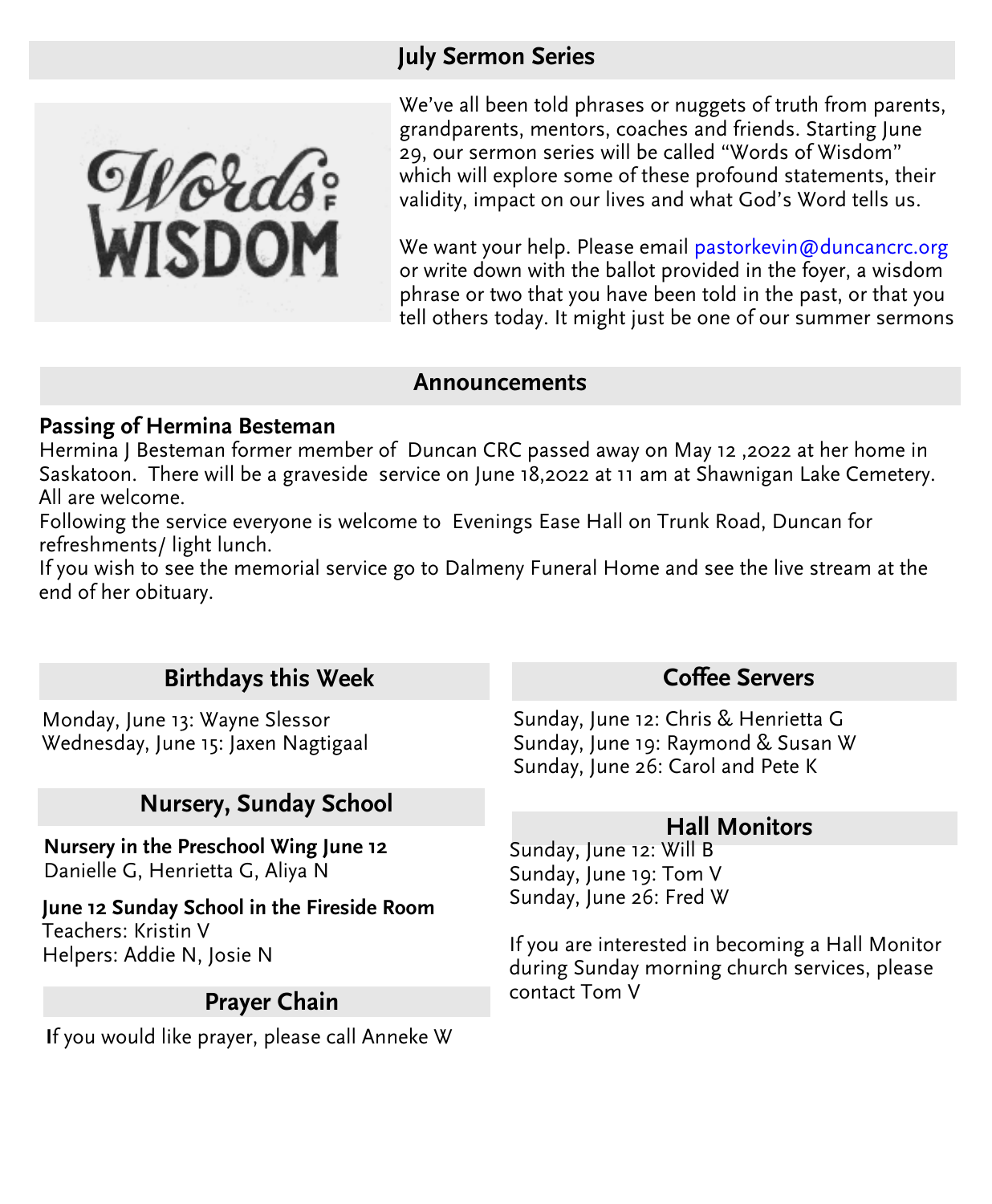# **July Sermon Series**

We've all been told phrases or nuggets of truth from parents, grandparents, mentors, coaches and friends. Starting June 29, our sermon series will be called "Words of Wisdom" which will explore some of these profound statements, their validity, impact on our lives and what God's Word tells us.

We want your help. Please emai[l pastorkevin@duncancrc.org](mailto:pastorkevin@duncancrc.org) or write down with the ballot provided in the foyer, a wisdom phrase or two that you have been told in the past, or that you tell others today. It might just be one of our summer sermons

#### **Announcements**

#### **Passing of Hermina Besteman**

Hermina J Besteman former member of Duncan CRC passed away on May 12 ,2022 at her home in Saskatoon. There will be a graveside service on June 18,2022 at 11 am at Shawnigan Lake Cemetery. All are welcome.

Following the service everyone is welcome to Evenings Ease Hall on Trunk Road, Duncan for refreshments/ light lunch.

If you wish to see the memorial service go to Dalmeny Funeral Home and see the live stream at the end of her obituary.

# **Birthdays this Week**

Monday, June 13: Wayne Slessor Wednesday, June 15: Jaxen Nagtigaal

# **Nursery, Sunday School**

**Nursery in the Preschool Wing June 12** Danielle G, Henrietta G, Aliya N

**June 12 Sunday School in the Fireside Room** Teachers: Kristin V Helpers: Addie N, Josie N

## **Prayer Chain**

**I**f you would like prayer, please call Anneke W

## **Coffee Servers**

Sunday, June 12: Chris & Henrietta G Sunday, June 19: Raymond & Susan W Sunday, June 26: Carol and Pete K

## **Hall Monitors**

Sunday, June 12: Will B Sunday, June 19: Tom V Sunday, June 26: Fred W

If you are interested in becoming a Hall Monitor during Sunday morning church services, please